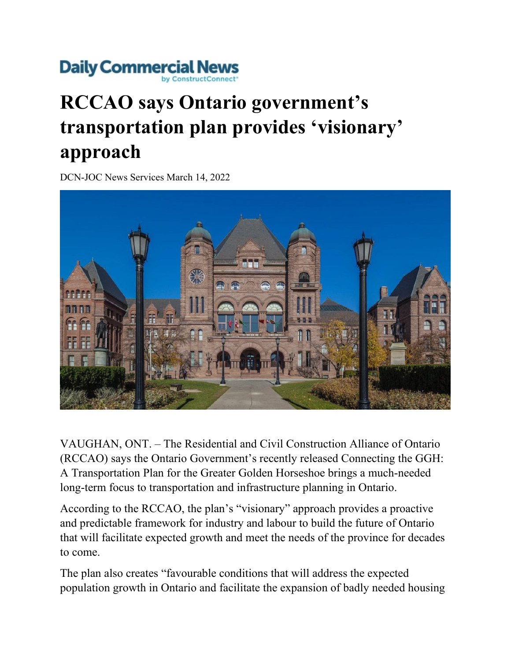## **Daily Commercial News**

## **RCCAO says Ontario government's transportation plan provides 'visionary' approach**

DCN-JOC News Services March 14, 2022



VAUGHAN, ONT. – The Residential and Civil Construction Alliance of Ontario (RCCAO) says the Ontario Government's recently released Connecting the GGH: A Transportation Plan for the Greater Golden Horseshoe brings a much-needed long-term focus to transportation and infrastructure planning in Ontario.

According to the RCCAO, the plan's "visionary" approach provides a proactive and predictable framework for industry and labour to build the future of Ontario that will facilitate expected growth and meet the needs of the province for decades to come.

The plan also creates "favourable conditions that will address the expected population growth in Ontario and facilitate the expansion of badly needed housing